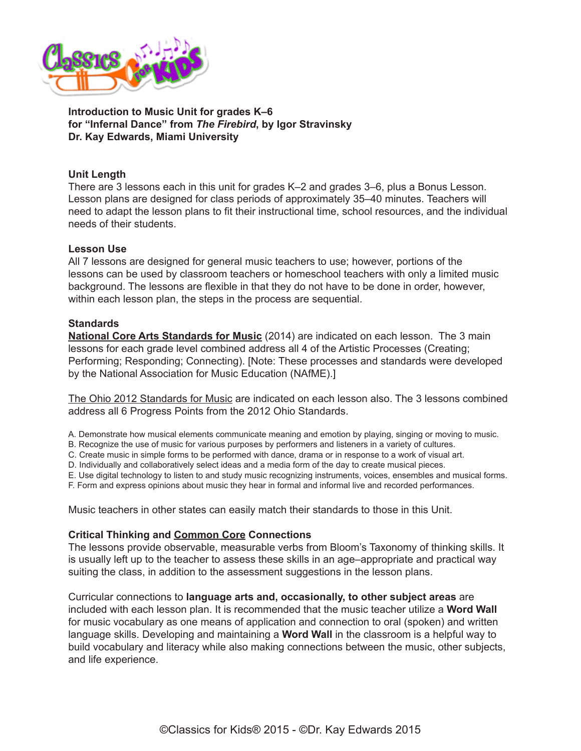

**Introduction to Music Unit for grades K–6 for "Infernal Dance" from** *The Firebird***, by Igor Stravinsky Dr. Kay Edwards, Miami University**

## **Unit Length**

There are 3 lessons each in this unit for grades K–2 and grades 3–6, plus a Bonus Lesson. Lesson plans are designed for class periods of approximately 35–40 minutes. Teachers will need to adapt the lesson plans to fit their instructional time, school resources, and the individual needs of their students.

### **Lesson Use**

All 7 lessons are designed for general music teachers to use; however, portions of the lessons can be used by classroom teachers or homeschool teachers with only a limited music background. The lessons are flexible in that they do not have to be done in order, however, within each lesson plan, the steps in the process are sequential.

## **Standards**

**[National Core Arts Standards for Music](http://nccas.wikispaces.com/National+Core+Arts+Standards+Framework+Matrix)** (2014) are indicated on each lesson. The 3 main lessons for each grade level combined address all 4 of the Artistic Processes (Creating; Performing; Responding; Connecting). [Note: These processes and standards were developed by the National Association for Music Education (NAfME).]

[The Ohio 2012 Standards for Music](http://education.ohio.gov/Topics/Academic-Content-Standards/2012-Revised-Fine-Arts-Standards) are indicated on each lesson also. The 3 lessons combined address all 6 Progress Points from the 2012 Ohio Standards.

A. Demonstrate how musical elements communicate meaning and emotion by playing, singing or moving to music.

B. Recognize the use of music for various purposes by performers and listeners in a variety of cultures.

C. Create music in simple forms to be performed with dance, drama or in response to a work of visual art.

D. Individually and collaboratively select ideas and a media form of the day to create musical pieces.

E. Use digital technology to listen to and study music recognizing instruments, voices, ensembles and musical forms.

F. Form and express opinions about music they hear in formal and informal live and recorded performances.

Music teachers in other states can easily match their standards to those in this Unit.

### **Critical Thinking and Common Core Connections**

The lessons provide observable, measurable verbs from Bloom's Taxonomy of thinking skills. It is usually left up to the teacher to assess these skills in an age–appropriate and practical way suiting the class, in addition to the assessment suggestions in the lesson plans.

Curricular connections to **language arts and, occasionally, to other subject areas** are included with each lesson plan. It is recommended that the music teacher utilize a **Word Wall**  for music vocabulary as one means of application and connection to oral (spoken) and written language skills. Developing and maintaining a **Word Wall** in the classroom is a helpful way to build vocabulary and literacy while also making connections between the music, other subjects, and life experience.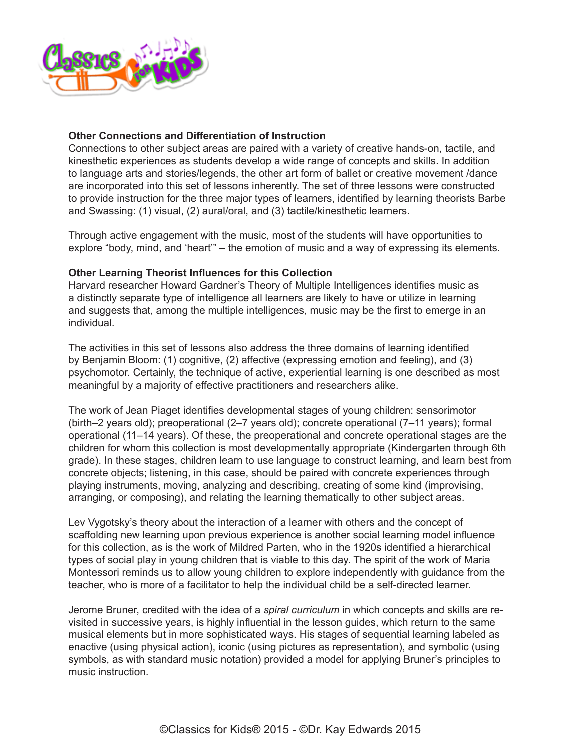

# **Other Connections and Differentiation of Instruction**

Connections to other subject areas are paired with a variety of creative hands-on, tactile, and kinesthetic experiences as students develop a wide range of concepts and skills. In addition to language arts and stories/legends, the other art form of ballet or creative movement /dance are incorporated into this set of lessons inherently. The set of three lessons were constructed to provide instruction for the three major types of learners, identified by learning theorists Barbe and Swassing: (1) visual, (2) aural/oral, and (3) tactile/kinesthetic learners.

Through active engagement with the music, most of the students will have opportunities to explore "body, mind, and 'heart'" – the emotion of music and a way of expressing its elements.

### **Other Learning Theorist Influences for this Collection**

Harvard researcher Howard Gardner's Theory of Multiple Intelligences identifies music as a distinctly separate type of intelligence all learners are likely to have or utilize in learning and suggests that, among the multiple intelligences, music may be the first to emerge in an individual.

The activities in this set of lessons also address the three domains of learning identified by Benjamin Bloom: (1) cognitive, (2) affective (expressing emotion and feeling), and (3) psychomotor. Certainly, the technique of active, experiential learning is one described as most meaningful by a majority of effective practitioners and researchers alike.

The work of Jean Piaget identifies developmental stages of young children: sensorimotor (birth–2 years old); preoperational (2–7 years old); concrete operational (7–11 years); formal operational (11–14 years). Of these, the preoperational and concrete operational stages are the children for whom this collection is most developmentally appropriate (Kindergarten through 6th grade). In these stages, children learn to use language to construct learning, and learn best from concrete objects; listening, in this case, should be paired with concrete experiences through playing instruments, moving, analyzing and describing, creating of some kind (improvising, arranging, or composing), and relating the learning thematically to other subject areas.

Lev Vygotsky's theory about the interaction of a learner with others and the concept of scaffolding new learning upon previous experience is another social learning model influence for this collection, as is the work of Mildred Parten, who in the 1920s identified a hierarchical types of social play in young children that is viable to this day. The spirit of the work of Maria Montessori reminds us to allow young children to explore independently with guidance from the teacher, who is more of a facilitator to help the individual child be a self-directed learner.

Jerome Bruner, credited with the idea of a *spiral curriculum* in which concepts and skills are revisited in successive years, is highly influential in the lesson guides, which return to the same musical elements but in more sophisticated ways. His stages of sequential learning labeled as enactive (using physical action), iconic (using pictures as representation), and symbolic (using symbols, as with standard music notation) provided a model for applying Bruner's principles to music instruction.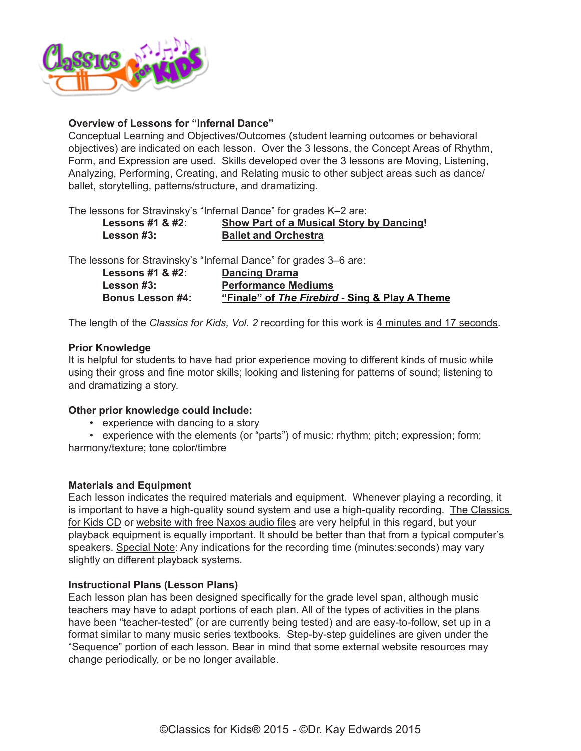

## **Overview of Lessons for "Infernal Dance"**

Conceptual Learning and Objectives/Outcomes (student learning outcomes or behavioral objectives) are indicated on each lesson. Over the 3 lessons, the Concept Areas of Rhythm, Form, and Expression are used. Skills developed over the 3 lessons are Moving, Listening, Analyzing, Performing, Creating, and Relating music to other subject areas such as dance/ ballet, storytelling, patterns/structure, and dramatizing.

The lessons for Stravinsky's "Infernal Dance" for grades K–2 are:

| Lessons #1 & #2: | <b>Show Part of a Musical Story by Dancing!</b> |
|------------------|-------------------------------------------------|
| Lesson #3:       | <b>Ballet and Orchestra</b>                     |

The lessons for Stravinsky's "Infernal Dance" for grades 3–6 are:

| Lessons #1 & #2:        | <b>Dancing Drama</b>                           |
|-------------------------|------------------------------------------------|
| Lesson #3:              | <b>Performance Mediums</b>                     |
| <b>Bonus Lesson #4:</b> | "Finale" of The Firebird - Sing & Play A Theme |

The length of the *Classics for Kids, Vol. 2* recording for this work is 4 minutes and 17 seconds.

### **Prior Knowledge**

It is helpful for students to have had prior experience moving to different kinds of music while using their gross and fine motor skills; looking and listening for patterns of sound; listening to and dramatizing a story.

### **Other prior knowledge could include:**

• experience with dancing to a story

• experience with the elements (or "parts") of music: rhythm; pitch; expression; form;

harmony/texture; tone color/timbre

### **Materials and Equipment**

Each lesson indicates the required materials and equipment. Whenever playing a recording, it is important to have a high-quality sound system and use a high-quality recording. The Classics [for Kids CD](https://secure2.convio.net/cpr/site/Ecommerce/1029952731?VIEW_PRODUCT=true&product_id=1080&store_id=1101) or [website with free Naxos audio files](http://www.classicsforkids.com/music/hearthemusic.php?id=32) are very helpful in this regard, but your playback equipment is equally important. It should be better than that from a typical computer's speakers. Special Note: Any indications for the recording time (minutes:seconds) may vary slightly on different playback systems.

### **Instructional Plans (Lesson Plans)**

Each lesson plan has been designed specifically for the grade level span, although music teachers may have to adapt portions of each plan. All of the types of activities in the plans have been "teacher-tested" (or are currently being tested) and are easy-to-follow, set up in a format similar to many music series textbooks. Step-by-step guidelines are given under the "Sequence" portion of each lesson. Bear in mind that some external website resources may change periodically, or be no longer available.